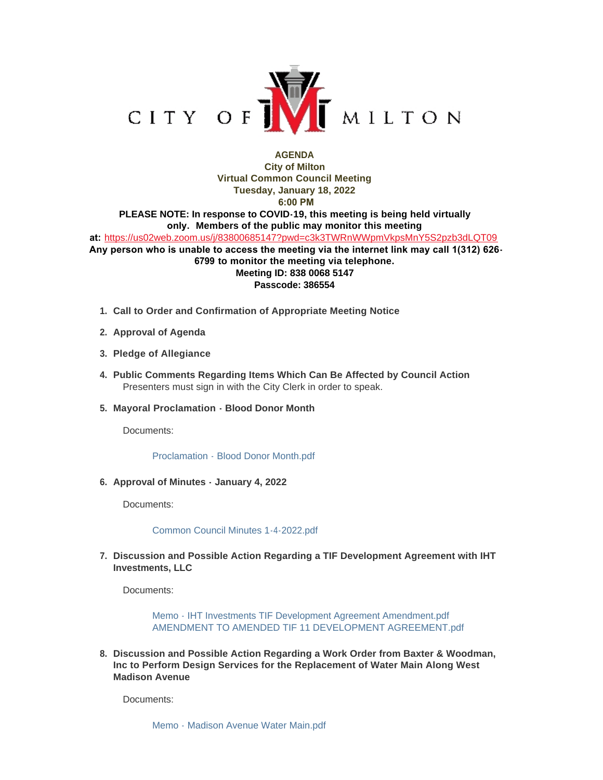

## **AGENDA City of Milton Virtual Common Council Meeting Tuesday, January 18, 2022 6:00 PM PLEASE NOTE: In response to COVID-19, this meeting is being held virtually only. Members of the public may monitor this meeting at:** <https://us02web.zoom.us/j/83800685147?pwd=c3k3TWRnWWpmVkpsMnY5S2pzb3dLQT09>

 **Any person who is unable to access the meeting via the internet link may call 1(312) 626- 6799 to monitor the meeting via telephone. Meeting ID: 838 0068 5147 Passcode: 386554**

- **Call to Order and Confirmation of Appropriate Meeting Notice 1.**
- **Approval of Agenda 2.**
- **Pledge of Allegiance 3.**
- **Public Comments Regarding Items Which Can Be Affected by Council Action 4.** Presenters must sign in with the City Clerk in order to speak.
- **Mayoral Proclamation Blood Donor Month 5.**

Documents:

[Proclamation - Blood Donor Month.pdf](https://www.milton-wi.gov/AgendaCenter/ViewFile/Item/9390?fileID=7197)

**Approval of Minutes - January 4, 2022 6.**

Documents:

[Common Council Minutes 1-4-2022.pdf](https://www.milton-wi.gov/AgendaCenter/ViewFile/Item/9391?fileID=7192)

**Discussion and Possible Action Regarding a TIF Development Agreement with IHT 7. Investments, LLC**

Documents:

[Memo - IHT Investments TIF Development Agreement Amendment.pdf](https://www.milton-wi.gov/AgendaCenter/ViewFile/Item/9396?fileID=7185) [AMENDMENT TO AMENDED TIF 11 DEVELOPMENT AGREEMENT.pdf](https://www.milton-wi.gov/AgendaCenter/ViewFile/Item/9396?fileID=7184)

**Discussion and Possible Action Regarding a Work Order from Baxter & Woodman, 8. Inc to Perform Design Services for the Replacement of Water Main Along West Madison Avenue**

Documents:

[Memo - Madison Avenue Water Main.pdf](https://www.milton-wi.gov/AgendaCenter/ViewFile/Item/9389?fileID=7180)